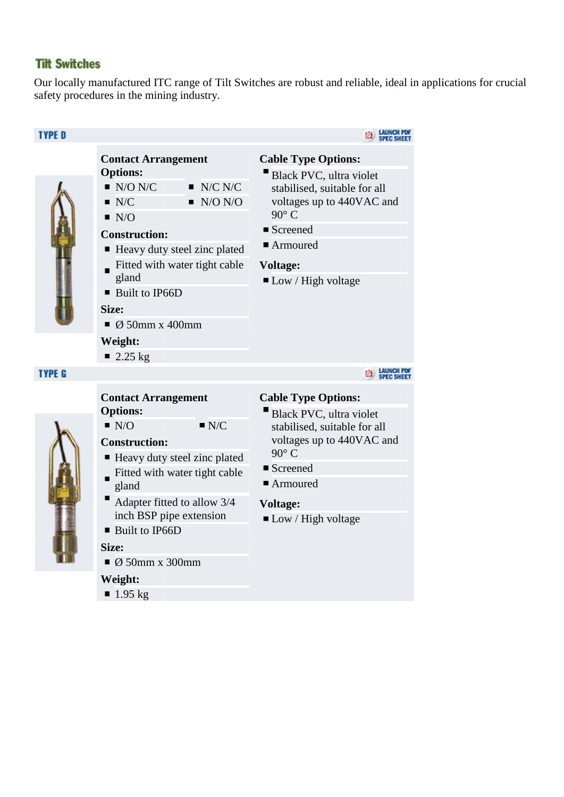#### **Tilt Switches**

Our locally manufactured ITC range of Tilt Switches are robust and reliable, ideal in applications for crucial safety procedures in the mining industry.



 $1.95 \text{ kg}$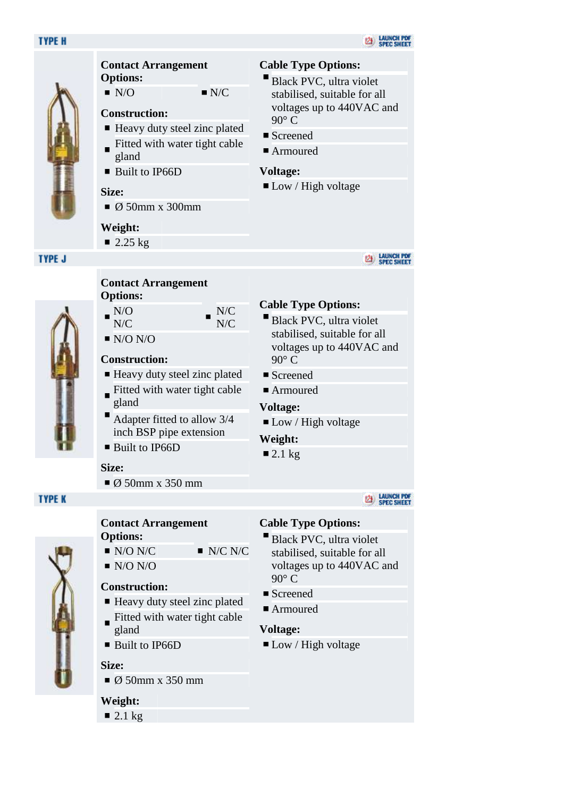#### **TYPE H**



### **Contact Arrangement Options:**

 $N/O$   $N/C$ 

#### **Construction:**

- Heavy duty steel zinc plated Fitted with water tight cable  $\blacksquare$ gland
- Built to IP66D

#### **Size:**

 $\bullet$  Ø 50mm x 300mm

#### **Weight:**

 $\blacksquare$  2.25 kg

#### **TYPE J**



- N/C
- $\blacksquare$  N/O N/O

#### **Construction:**

■ Heavy duty steel zinc plated

N/C N/C

- Fitted with water tight cable gland
- Adapter fitted to allow 3/4 inch BSP pipe extension
- Built to IP66D

#### **Size:**

 $\bullet$  Ø 50mm x 350 mm

### **TYPE K**

#### **Contact Arrangement Options:**

- $\blacksquare$  N/O N/C  $\blacksquare$  N/C N/C
- $N/O N/O$

#### **Construction:**

- Heavy duty steel zinc plated
- Fitted with water tight cable gland
- Built to IP66D

#### **Size:**

 $\bullet$  Ø 50mm x 350 mm

#### **Weight:**

 $\blacksquare$  2.1 kg

#### **Cable Type Options:**

- Black PVC, ultra violet stabilised, suitable for all voltages up to 440VAC and 90° C
- Screened
- Armoured

#### **Voltage:**

■ Low / High voltage

### **EZE** LAUNCH POF

#### **Cable Type Options:**

- Black PVC, ultra violet stabilised, suitable for all voltages up to 440VAC and 90° C
- Screened
- Armoured

#### **Voltage:**

 $\blacksquare$  Low / High voltage

#### **Weight:**

 $\blacksquare$  2.1 kg

#### **E2 LAUNCH PDF**<br>SPEC SHEET

#### **Cable Type Options:**

- Black PVC, ultra violet stabilised, suitable for all voltages up to 440VAC and 90° C
- Screened
- Armoured

#### **Voltage:**

 $\blacksquare$  Low / High voltage



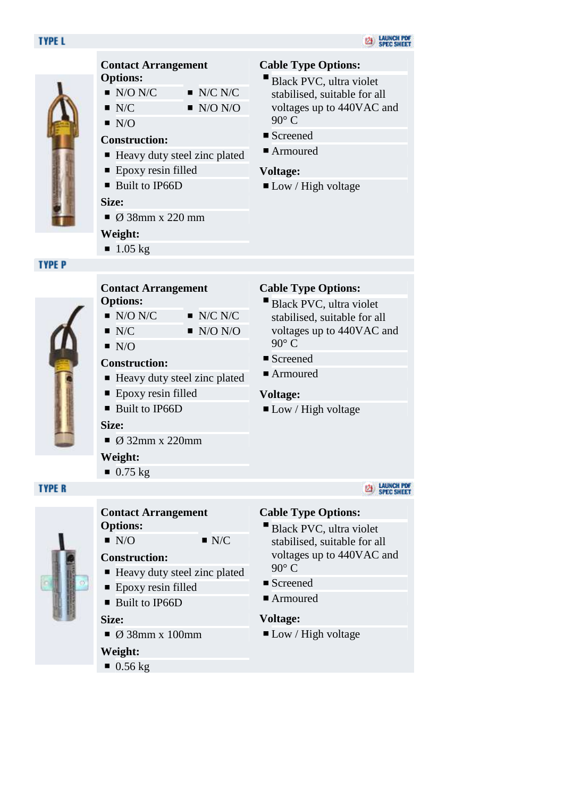#### **TYPE L**



#### **Contact Arrangement Options:**

- $\blacksquare$  N/O N/C  $\blacksquare$  N/C N/C
- $N/C$   $N/O N/O$ 
	-
- $\blacksquare$  N/O

#### **Construction:**

- Heavy duty steel zinc plated
- Epoxy resin filled
- Built to IP66D

#### **Size:**

 $\bullet$  Ø 38mm x 220 mm

#### **Weight:**

 $1.05 \text{ kg}$ 

#### **TYPE P**



#### **Contact Arrangement Options:**

- $\blacksquare$  N/O N/C  $\blacksquare$  N/C N/C
- $N/C$   $N/O N/O$
- $N/O$

#### **Construction:**

- $\blacksquare$  Heavy duty steel zinc plated
- **E** Epoxy resin filled
- Built to IP66D

#### **Size:**

 $\bullet$  Ø 32mm x 220mm

#### **Weight:**

 $\blacksquare$  0.75 kg

### **TYPE R**



# **Contact Arrangement**

**Options:**  $N/O$   $N/C$ 

## **Construction:**

- Heavy duty steel zinc plated
- Epoxy resin filled
- Built to IP66D

#### **Size:**

 $\bullet$  Ø 38mm x 100mm

#### **Weight:**

 $\blacksquare$  0.56 kg

#### **Cable Type Options:**

- Black PVC, ultra violet stabilised, suitable for all voltages up to 440VAC and 90° C
- Screened
- Armoured

#### **Voltage:**

■ Low / High voltage

#### **Cable Type Options:**

- Black PVC, ultra violet stabilised, suitable for all voltages up to 440VAC and  $90^\circ$  C
- Screened
- Armoured

#### **Voltage:**

**Low** / High voltage

#### **EA LAUNCH PDF**<br>SPEC SHEET

#### **Cable Type Options:**

- Black PVC, ultra violet stabilised, suitable for all voltages up to 440VAC and 90° C
- Screened
- Armoured

#### **Voltage:**

■ Low / High voltage